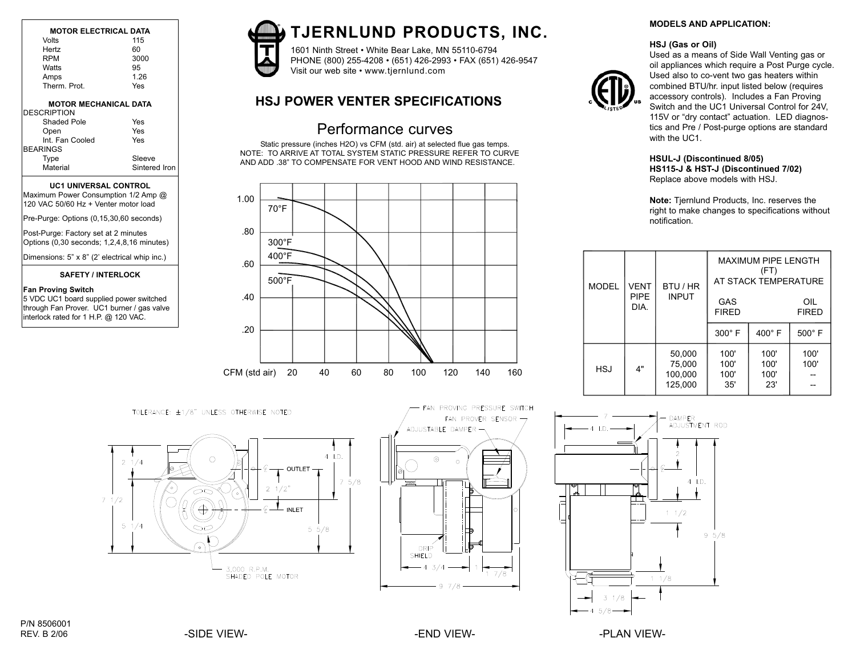| <b>MOTOR ELECTRICAL DATA</b> |      |  |
|------------------------------|------|--|
| Volts                        | 115  |  |
| Hertz                        | 60   |  |
| <b>RPM</b>                   | 3000 |  |
| Watts                        | 95   |  |
| Amps                         | 1 26 |  |
| Therm Prot                   | Yes  |  |
| <b>MOTOR MECHANICAL DATA</b> |      |  |

| <b>DESCRIPTION</b> |               |
|--------------------|---------------|
| Shaded Pole        | Yes           |
| Open               | Yes           |
| Int. Fan Cooled    | Yes           |
| <b>BEARINGS</b>    |               |
| Type               | Sleeve        |
| Material           | Sintered Iron |

## **UC1 UNIVERSAL CONTROL**

Maximum Power Consumption 1/2 Amp @ 120 VAC 50/60 Hz + Venter motor load

Pre-Purge: Options (0,15,30,60 seconds)

Post-Purge: Factory set at 2 minutes Options (0,30 seconds; 1,2,4,8,16 minutes)

Dimensions: 5" x 8" (2' electrical whip inc.)

#### **SAFETY / INTERLOCK**

#### **Fan Proving Switch**

5 VDC UC1 board supplied power switched through Fan Prover. UC1 burner / gas valve interlock rated for 1 H.P. @ 120 VAC.



# **TJERNLUND PRODUCTS, INC.**

1601 Ninth Street • White Bear Lake, MN 55110-6794 PHONE (800) 255-4208 • (651) 426-2993 • FAX (651) 426-9547 Visit our web site • www.tjernlund.com

## **HSJ POWER VENTER SPECIFICATIONS**

## Performance curves

Static pressure (inches H2O) vs CFM (std. air) at selected flue gas temps. NOTE: TO ARRIVE AT TOTAL SYSTEM STATIC PRESSURE REFER TO CURVE AND ADD .38" TO COMPENSATE FOR VENT HOOD AND WIND RESISTANCE.



TOLERANCE: ±1/8" UNLESS OTHERWISE NOTED





FAN PROVING PRESSURE SWITCH

## **MODELS AND APPLICATION:**

## **HSJ (Gas or Oil)**



Used as a means of Side Wall Venting gas or oil appliances which require a Post Purge cycle. Used also to co-vent two gas heaters within combined BTU/hr. input listed below (requires accessory controls). Includes a Fan Proving Switch and the UC1 Universal Control for 24V, 115V or "dry contact" actuation. LED diagnostics and Pre / Post-purge options are standard with the UC1.

## **HSUL-J (Discontinued 8/05) HS115-J & HST-J (Discontinued 7/02)** Replace above models with HSJ.

**Note:** Tjernlund Products, Inc. reserves the right to make changes to specifications without notification.

|  | <b>MODEL</b> | <b>VENT</b>         | BTU / HR<br><b>INPUT</b>               | <b>MAXIMUM PIPE LENGTH</b><br>(FT)<br>AT STACK TEMPERATURE |                             |                     |
|--|--------------|---------------------|----------------------------------------|------------------------------------------------------------|-----------------------------|---------------------|
|  |              | <b>PIPE</b><br>DIA. |                                        | GAS<br><b>FIRED</b>                                        |                             | OIL<br><b>FIRED</b> |
|  |              |                     |                                        | 300° F                                                     | $400^\circ$ F               | $500^\circ$ F       |
|  | <b>HSJ</b>   | 4"                  | 50,000<br>75,000<br>100,000<br>125,000 | 100'<br>100'<br>100'<br>35'                                | 100'<br>100'<br>100'<br>23' | 100'<br>100'        |

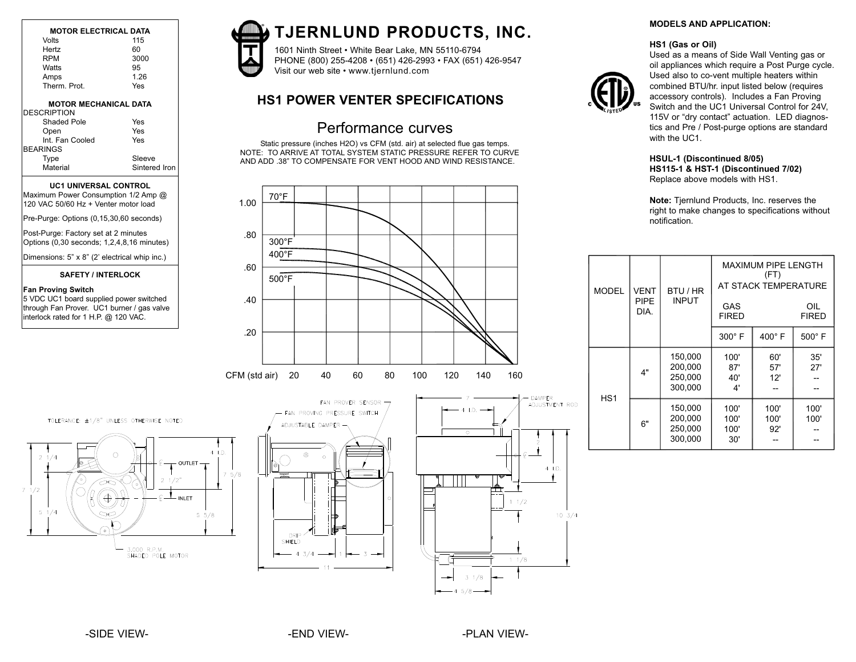| <b>MOTOR ELECTRICAL DATA</b> |      | <b>TJERNLUND PROI</b>                   |
|------------------------------|------|-----------------------------------------|
| Volts                        | 115  |                                         |
| Hertz                        | 60   | 1601 Ninth Street . White Bear Lake, MI |
| <b>RPM</b>                   | 3000 | PHONE (800) 255-4208 • (651) 426-299    |
| Watts                        | 95   | Visit our web site • www.tjernlund.com  |
| Amps                         | 1.26 |                                         |
| Therm. Prot.                 | Yes  |                                         |
| <b>MOTOR MECHANICAL DATA</b> |      | <b>HS1 POWER VENTER SPEC</b>            |

| <b>DESCRIPTION</b> |               |
|--------------------|---------------|
| Shaded Pole        | Yes           |
| Open               | Yes           |
| Int. Fan Cooled    | Yes           |
| <b>BEARINGS</b>    |               |
| Type               | Sleeve        |
| Material           | Sintered Iron |

## **UC1 UNIVERSAL CONTROL**

Maximum Power Consumption 1/2 Amp @ 120 VAC 50/60 Hz + Venter motor load

Pre-Purge: Options (0,15,30,60 seconds)

Post-Purge: Factory set at 2 minutes Options (0,30 seconds; 1,2,4,8,16 minutes)

Dimensions: 5" x 8" (2' electrical whip inc.)

# **SAFETY / INTERLOCK Fan Proving Switch**

5 VDC UC1 board supplied power switched through Fan Prover. UC1 burner / gas valve interlock rated for 1 H.P. @ 120 VAC.



# **TJERNLUND PRODUCTS, INC.**

1601 Ninth Street • White Bear Lake, MN 55110-6794 PHONE (800) 255-4208 • (651) 426-2993 • FAX (651) 426-9547

## **HS1 POWER VENTER SPECIFICATIONS**

## Performance curves

Static pressure (inches H2O) vs CFM (std. air) at selected flue gas temps. NOTE: TO ARRIVE AT TOTAL SYSTEM STATIC PRESSURE REFER TO CURVE AND ADD .38" TO COMPENSATE FOR VENT HOOD AND WIND RESISTANCE.



## **MODELS AND APPLICATION:**

#### **HS1 (Gas or Oil)**



Used as a means of Side Wall Venting gas or oil appliances which require a Post Purge cycle. Used also to co-vent multiple heaters within combined BTU/hr. input listed below (requires accessory controls). Includes a Fan Proving Switch and the UC1 Universal Control for 24V, 115V or "dry contact" actuation. LED diagnostics and Pre / Post-purge options are standard with the UC1.

## **HSUL-1 (Discontinued 8/05) HS115-1 & HST-1 (Discontinued 7/02)** Replace above models with HS1.

**Note:** Tjernlund Products, Inc. reserves the right to make changes to specifications without notification.

| <b>MODEL</b>    | <b>VENT</b><br><b>INPUT</b><br><b>PIPE</b><br>DIA. | BTU / HR                                 |                             | (FT)                | <b>MAXIMUM PIPE LENGTH</b><br>AT STACK TEMPERATURE |  |
|-----------------|----------------------------------------------------|------------------------------------------|-----------------------------|---------------------|----------------------------------------------------|--|
|                 |                                                    |                                          | GAS<br><b>FIRED</b>         |                     | OIL<br><b>FIRED</b>                                |  |
|                 |                                                    |                                          | 300° F                      | 400° F              | $500^\circ$ F                                      |  |
|                 | 4"                                                 | 150,000<br>200,000<br>250,000<br>300.000 | 100'<br>87'<br>40'<br>4'    | 60'<br>57'<br>12'   | 35'<br>27'                                         |  |
| HS <sub>1</sub> | 6"                                                 | 150,000<br>200,000<br>250,000<br>300,000 | 100'<br>100'<br>100'<br>30' | 100'<br>100'<br>92' | 100'<br>100'                                       |  |

TOLERANCE: ±1/8" UNLESS OTHERWISE NOTED